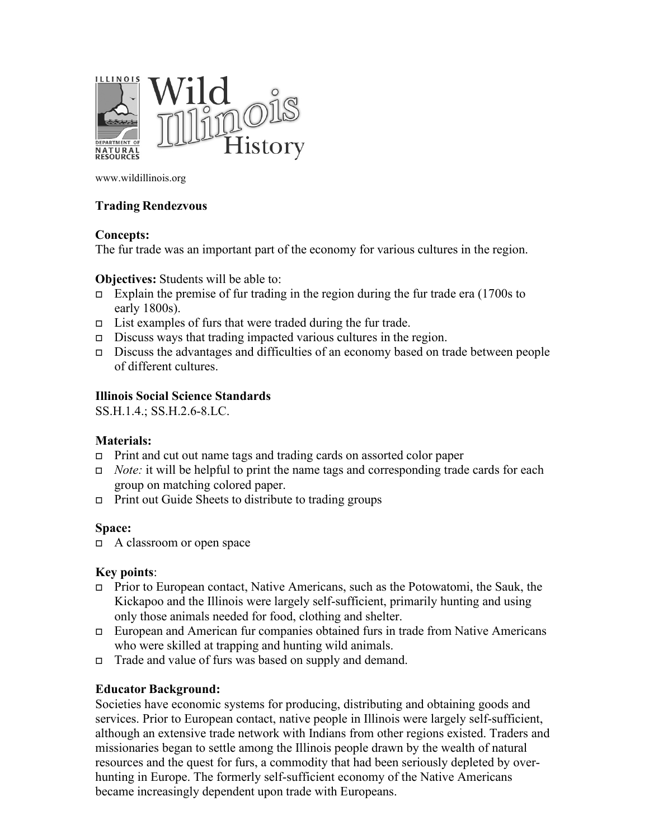

www.wildillinois.org

### **Trading Rendezvous**

### **Concepts:**

The fur trade was an important part of the economy for various cultures in the region.

### **Objectives:** Students will be able to:

- Explain the premise of fur trading in the region during the fur trade era  $(1700s)$  to early 1800s).
- $\Box$  List examples of furs that were traded during the fur trade.
- $\Box$  Discuss ways that trading impacted various cultures in the region.
- Discuss the advantages and difficulties of an economy based on trade between people of different cultures.

### **Illinois Social Science Standards**

SS.H.1.4.; SS.H.2.6-8.LC.

### **Materials:**

- Print and cut out name tags and trading cards on assorted color paper
- *Note:* it will be helpful to print the name tags and corresponding trade cards for each group on matching colored paper.
- $\Box$  Print out Guide Sheets to distribute to trading groups

### **Space:**

 $\Box$  A classroom or open space

### **Key points**:

- Prior to European contact, Native Americans, such as the Potowatomi, the Sauk, the Kickapoo and the Illinois were largely self-sufficient, primarily hunting and using only those animals needed for food, clothing and shelter.
- European and American fur companies obtained furs in trade from Native Americans who were skilled at trapping and hunting wild animals.
- □ Trade and value of furs was based on supply and demand.

### **Educator Background:**

Societies have economic systems for producing, distributing and obtaining goods and services. Prior to European contact, native people in Illinois were largely self-sufficient, although an extensive trade network with Indians from other regions existed. Traders and missionaries began to settle among the Illinois people drawn by the wealth of natural resources and the quest for furs, a commodity that had been seriously depleted by overhunting in Europe. The formerly self-sufficient economy of the Native Americans became increasingly dependent upon trade with Europeans.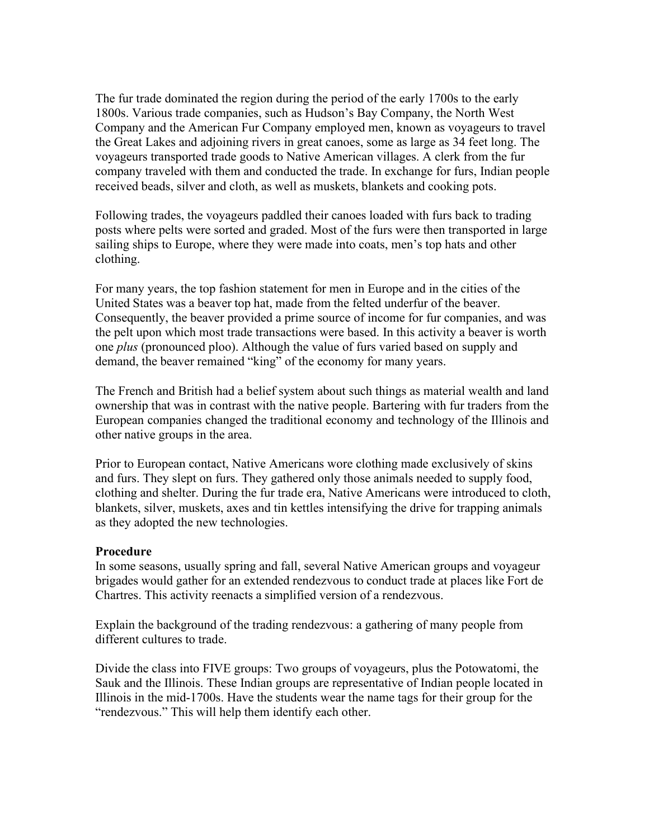The fur trade dominated the region during the period of the early 1700s to the early 1800s. Various trade companies, such as Hudson's Bay Company, the North West Company and the American Fur Company employed men, known as voyageurs to travel the Great Lakes and adjoining rivers in great canoes, some as large as 34 feet long. The voyageurs transported trade goods to Native American villages. A clerk from the fur company traveled with them and conducted the trade. In exchange for furs, Indian people received beads, silver and cloth, as well as muskets, blankets and cooking pots.

Following trades, the voyageurs paddled their canoes loaded with furs back to trading posts where pelts were sorted and graded. Most of the furs were then transported in large sailing ships to Europe, where they were made into coats, men's top hats and other clothing.

For many years, the top fashion statement for men in Europe and in the cities of the United States was a beaver top hat, made from the felted underfur of the beaver. Consequently, the beaver provided a prime source of income for fur companies, and was the pelt upon which most trade transactions were based. In this activity a beaver is worth one *plus* (pronounced ploo). Although the value of furs varied based on supply and demand, the beaver remained "king" of the economy for many years.

The French and British had a belief system about such things as material wealth and land ownership that was in contrast with the native people. Bartering with fur traders from the European companies changed the traditional economy and technology of the Illinois and other native groups in the area.

Prior to European contact, Native Americans wore clothing made exclusively of skins and furs. They slept on furs. They gathered only those animals needed to supply food, clothing and shelter. During the fur trade era, Native Americans were introduced to cloth, blankets, silver, muskets, axes and tin kettles intensifying the drive for trapping animals as they adopted the new technologies.

### **Procedure**

In some seasons, usually spring and fall, several Native American groups and voyageur brigades would gather for an extended rendezvous to conduct trade at places like Fort de Chartres. This activity reenacts a simplified version of a rendezvous.

Explain the background of the trading rendezvous: a gathering of many people from different cultures to trade.

Divide the class into FIVE groups: Two groups of voyageurs, plus the Potowatomi, the Sauk and the Illinois. These Indian groups are representative of Indian people located in Illinois in the mid-1700s. Have the students wear the name tags for their group for the "rendezvous." This will help them identify each other.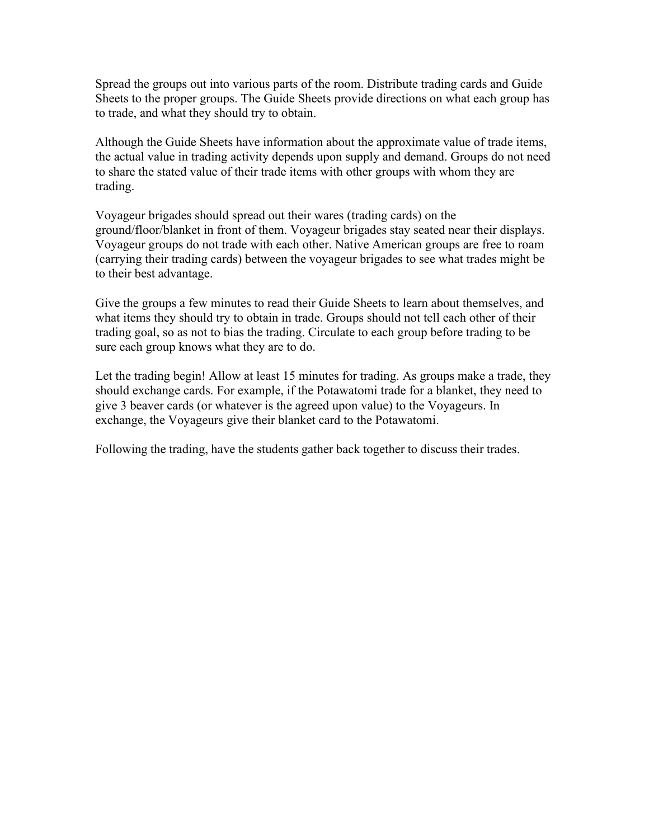Spread the groups out into various parts of the room. Distribute trading cards and Guide Sheets to the proper groups. The Guide Sheets provide directions on what each group has to trade, and what they should try to obtain.

Although the Guide Sheets have information about the approximate value of trade items, the actual value in trading activity depends upon supply and demand. Groups do not need to share the stated value of their trade items with other groups with whom they are trading.

Voyageur brigades should spread out their wares (trading cards) on the ground/floor/blanket in front of them. Voyageur brigades stay seated near their displays. Voyageur groups do not trade with each other. Native American groups are free to roam (carrying their trading cards) between the voyageur brigades to see what trades might be to their best advantage.

Give the groups a few minutes to read their Guide Sheets to learn about themselves, and what items they should try to obtain in trade. Groups should not tell each other of their trading goal, so as not to bias the trading. Circulate to each group before trading to be sure each group knows what they are to do.

Let the trading begin! Allow at least 15 minutes for trading. As groups make a trade, they should exchange cards. For example, if the Potawatomi trade for a blanket, they need to give 3 beaver cards (or whatever is the agreed upon value) to the Voyageurs. In exchange, the Voyageurs give their blanket card to the Potawatomi.

Following the trading, have the students gather back together to discuss their trades.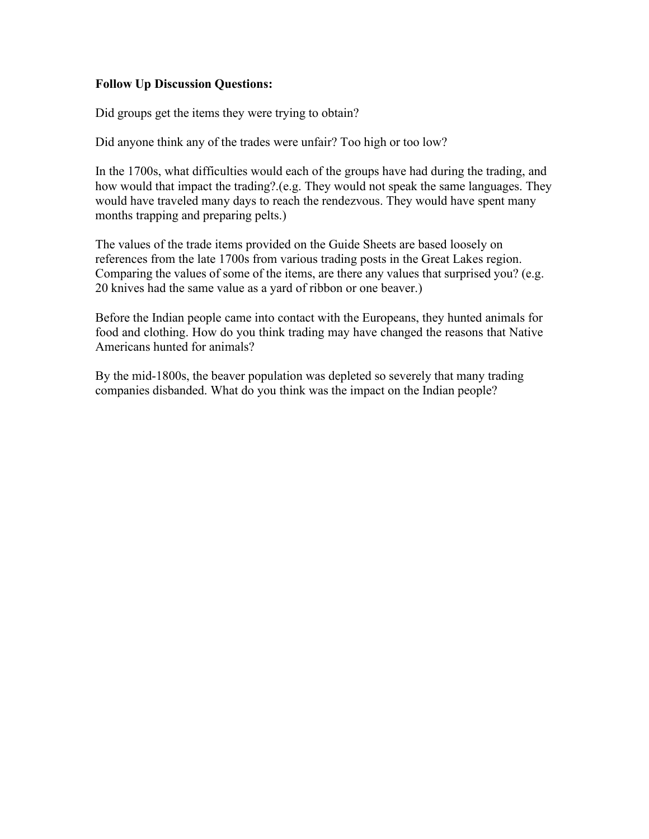### **Follow Up Discussion Questions:**

Did groups get the items they were trying to obtain?

Did anyone think any of the trades were unfair? Too high or too low?

In the 1700s, what difficulties would each of the groups have had during the trading, and how would that impact the trading?.(e.g. They would not speak the same languages. They would have traveled many days to reach the rendezvous. They would have spent many months trapping and preparing pelts.)

The values of the trade items provided on the Guide Sheets are based loosely on references from the late 1700s from various trading posts in the Great Lakes region. Comparing the values of some of the items, are there any values that surprised you? (e.g. 20 knives had the same value as a yard of ribbon or one beaver.)

Before the Indian people came into contact with the Europeans, they hunted animals for food and clothing. How do you think trading may have changed the reasons that Native Americans hunted for animals?

By the mid-1800s, the beaver population was depleted so severely that many trading companies disbanded. What do you think was the impact on the Indian people?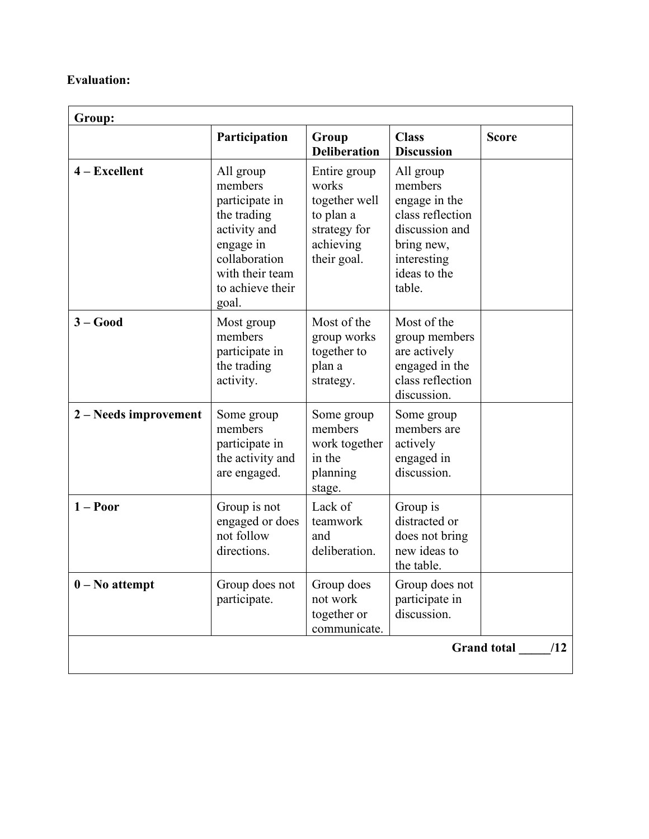### **Evaluation:**

| Group:                |                                                                                                                                                     |                                                                                                 |                                                                                                                                    |                           |
|-----------------------|-----------------------------------------------------------------------------------------------------------------------------------------------------|-------------------------------------------------------------------------------------------------|------------------------------------------------------------------------------------------------------------------------------------|---------------------------|
|                       | Participation                                                                                                                                       | Group<br><b>Deliberation</b>                                                                    | <b>Class</b><br><b>Discussion</b>                                                                                                  | <b>Score</b>              |
| $4 - Excellent$       | All group<br>members<br>participate in<br>the trading<br>activity and<br>engage in<br>collaboration<br>with their team<br>to achieve their<br>goal. | Entire group<br>works<br>together well<br>to plan a<br>strategy for<br>achieving<br>their goal. | All group<br>members<br>engage in the<br>class reflection<br>discussion and<br>bring new,<br>interesting<br>ideas to the<br>table. |                           |
| $3 - Good$            | Most group<br>members<br>participate in<br>the trading<br>activity.                                                                                 | Most of the<br>group works<br>together to<br>plan a<br>strategy.                                | Most of the<br>group members<br>are actively<br>engaged in the<br>class reflection<br>discussion.                                  |                           |
| 2 – Needs improvement | Some group<br>members<br>participate in<br>the activity and<br>are engaged.                                                                         | Some group<br>members<br>work together<br>in the<br>planning<br>stage.                          | Some group<br>members are<br>actively<br>engaged in<br>discussion.                                                                 |                           |
| $1 -$ Poor            | Group is not<br>engaged or does<br>not follow<br>directions.                                                                                        | Lack of<br>teamwork<br>and<br>deliberation.                                                     | Group is<br>distracted or<br>does not bring<br>new ideas to<br>the table.                                                          |                           |
| $0 - No$ attempt      | Group does not<br>participate.                                                                                                                      | Group does<br>not work<br>together or<br>communicate.                                           | Group does not<br>participate in<br>discussion.                                                                                    |                           |
|                       |                                                                                                                                                     |                                                                                                 |                                                                                                                                    | <b>Grand</b> total<br>/12 |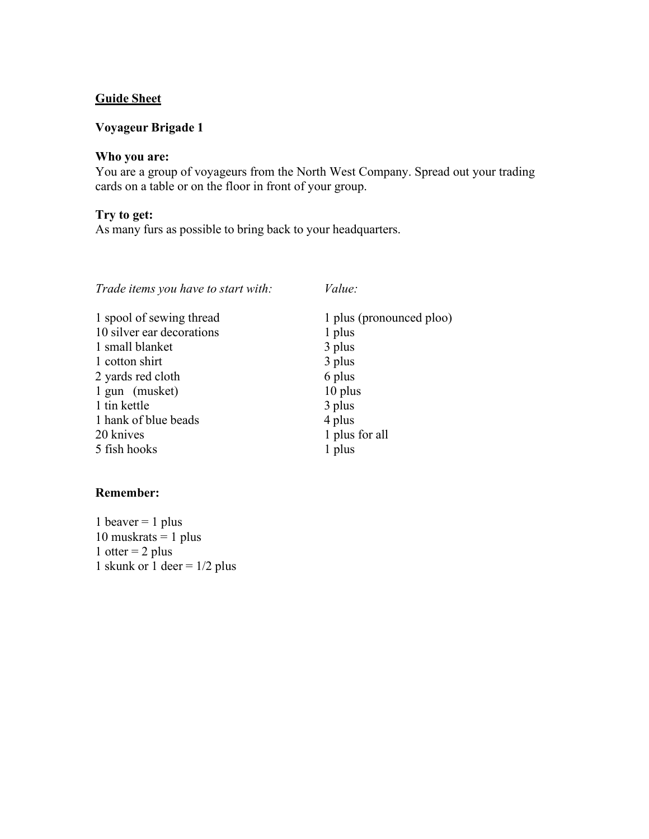### **Voyageur Brigade 1**

### **Who you are:**

You are a group of voyageurs from the North West Company. Spread out your trading cards on a table or on the floor in front of your group.

### **Try to get:**

As many furs as possible to bring back to your headquarters.

| Trade items you have to start with: | Value:                   |
|-------------------------------------|--------------------------|
| 1 spool of sewing thread            | 1 plus (pronounced ploo) |
| 10 silver ear decorations           | 1 plus                   |
| 1 small blanket                     | 3 plus                   |
| 1 cotton shirt                      | 3 plus                   |
| 2 yards red cloth                   | 6 plus                   |
| 1 gun (musket)                      | 10 plus                  |
| 1 tin kettle                        | 3 plus                   |
| 1 hank of blue beads                | 4 plus                   |
| 20 knives                           | 1 plus for all           |
| 5 fish hooks                        | 1 plus                   |
|                                     |                          |

### **Remember:**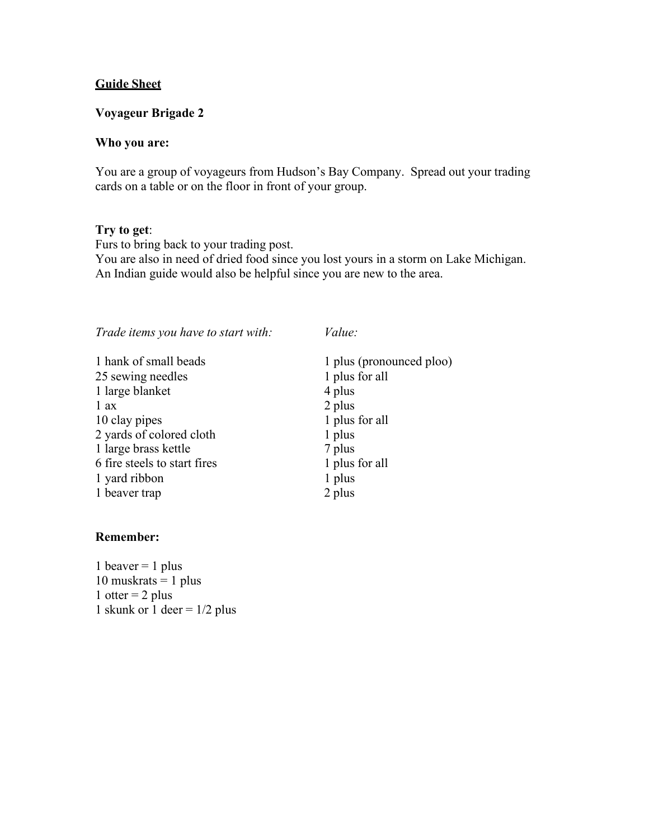### **Voyageur Brigade 2**

### **Who you are:**

You are a group of voyageurs from Hudson's Bay Company. Spread out your trading cards on a table or on the floor in front of your group.

### **Try to get**:

Furs to bring back to your trading post. You are also in need of dried food since you lost yours in a storm on Lake Michigan. An Indian guide would also be helpful since you are new to the area.

| Trade items you have to start with: | Value:                   |
|-------------------------------------|--------------------------|
| 1 hank of small beads               | 1 plus (pronounced ploo) |
| 25 sewing needles                   | 1 plus for all           |
| 1 large blanket                     | 4 plus                   |
| 1 ax                                | 2 plus                   |
| 10 clay pipes                       | 1 plus for all           |
| 2 yards of colored cloth            | 1 plus                   |
| 1 large brass kettle                | 7 plus                   |
| 6 fire steels to start fires        | 1 plus for all           |
| 1 yard ribbon                       | 1 plus                   |
| 1 beaver trap                       | 2 plus                   |
|                                     |                          |

### **Remember:**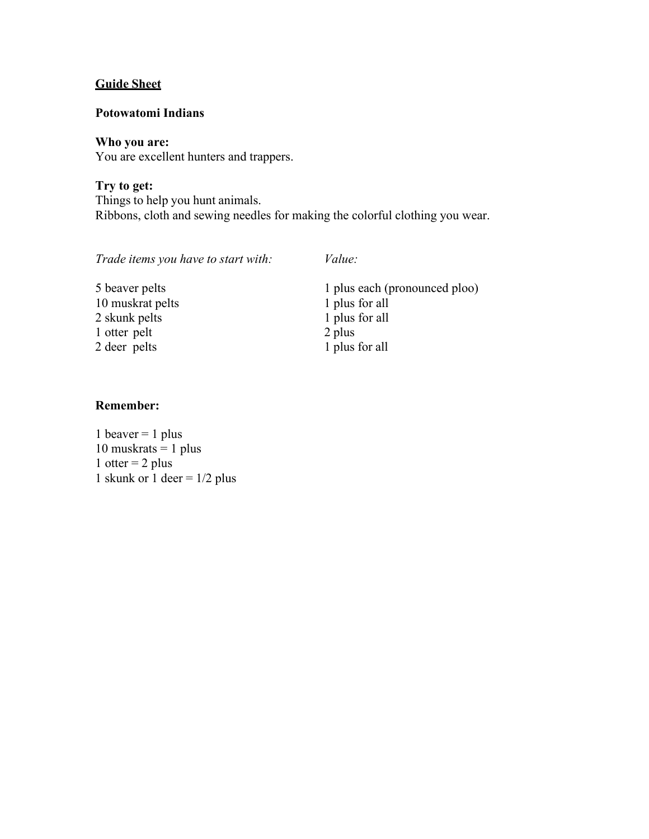### **Potowatomi Indians**

### **Who you are:**

You are excellent hunters and trappers.

**Try to get:** Things to help you hunt animals. Ribbons, cloth and sewing needles for making the colorful clothing you wear.

*Trade items you have to start with: Value:*

| 5 beaver pelts   | 1 plus each (pronounced ploo) |
|------------------|-------------------------------|
| 10 muskrat pelts | 1 plus for all                |
| 2 skunk pelts    | 1 plus for all                |
| 1 otter pelt     | 2 plus                        |
| 2 deer pelts     | 1 plus for all                |

### **Remember:**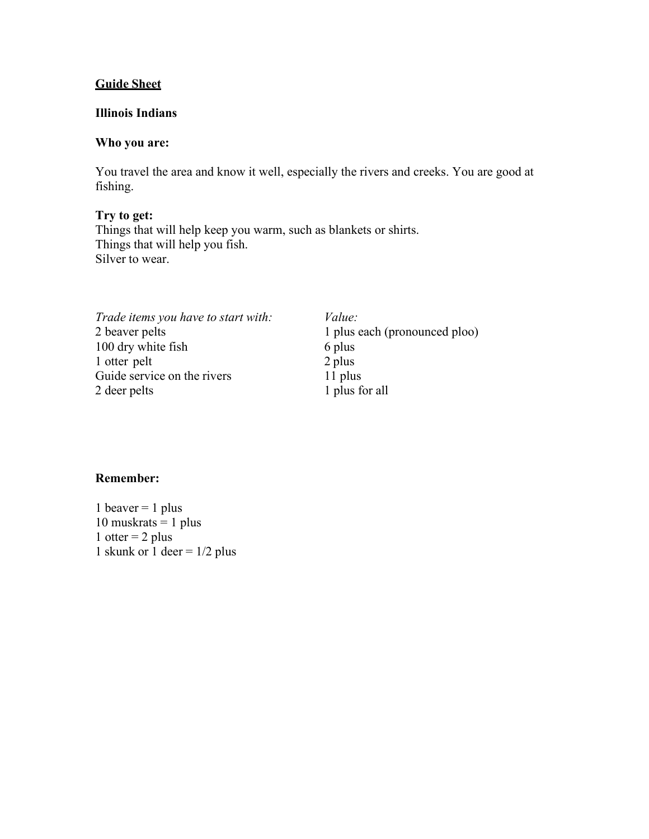### **Illinois Indians**

### **Who you are:**

You travel the area and know it well, especially the rivers and creeks. You are good at fishing.

**Try to get:** Things that will help keep you warm, such as blankets or shirts. Things that will help you fish. Silver to wear.

| Trade items you have to start with: | <i>Value:</i>                 |
|-------------------------------------|-------------------------------|
| 2 beaver pelts                      | 1 plus each (pronounced ploo) |
| 100 dry white fish                  | 6 plus                        |
| 1 otter pelt                        | 2 plus                        |
| Guide service on the rivers         | 11 plus                       |
| 2 deer pelts                        | 1 plus for all                |
|                                     |                               |

### **Remember:**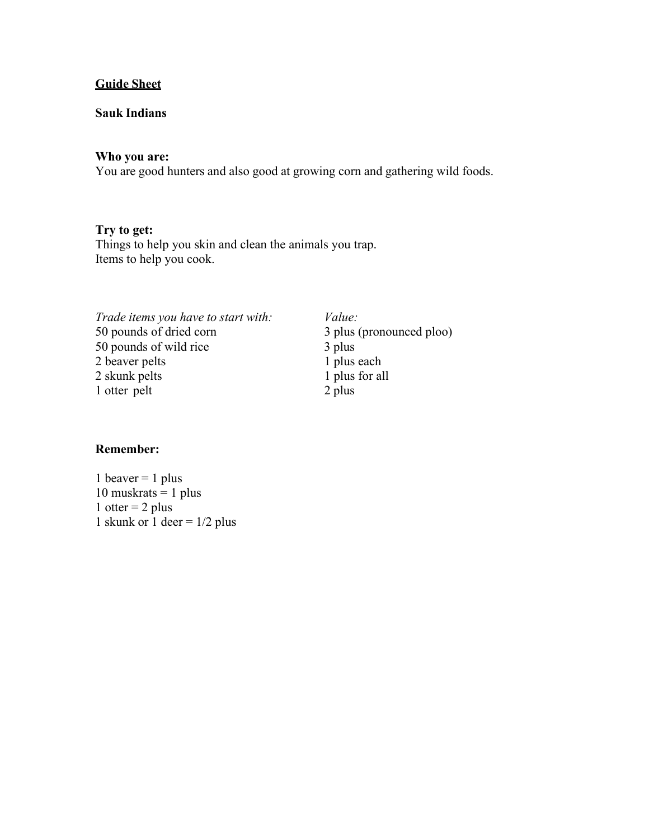### **Sauk Indians**

### **Who you are:**

You are good hunters and also good at growing corn and gathering wild foods.

### **Try to get:**

Things to help you skin and clean the animals you trap. Items to help you cook.

| Trade items you have to start with: | Value: |
|-------------------------------------|--------|
| 50 pounds of dried corn             | 3 plus |
| 50 pounds of wild rice              | 3 plus |
| 2 beaver pelts                      | 1 plus |
| 2 skunk pelts                       | 1 plus |
| 1 otter pelt                        | 2 plus |
|                                     |        |

*Trade items you have to start with: Value:* 3 plus (pronounced ploo)  $3$  plus 1 plus each 1 plus for all

### **Remember:**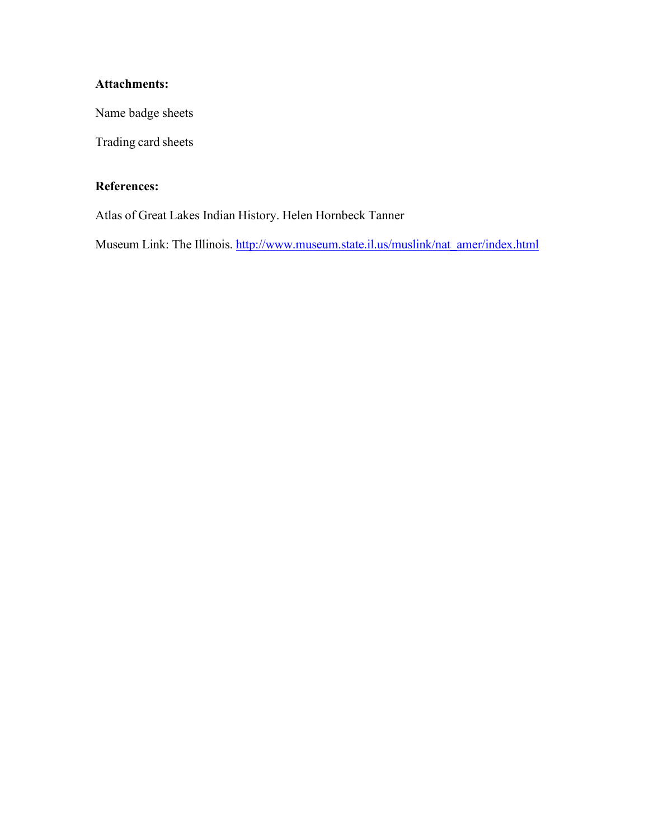### **Attachments:**

Name badge sheets

Trading card sheets

### **References:**

Atlas of Great Lakes Indian History. Helen Hornbeck Tanner

Museum Link: The Illinois. [http://www.museum.state.il.us/muslink/nat\\_amer/index.html](http://www.museum.state.il.us/muslink/nat_amer/index.html)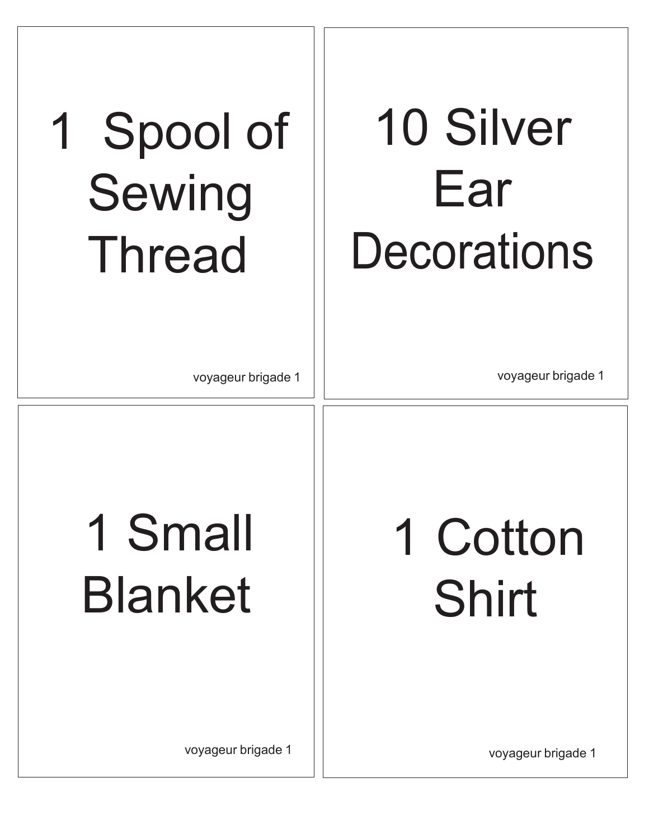### 10 Silver Ear **Decorations**

### 1 Spool of Sewing Thread

voyageur brigade 1

voyageur brigade 1

1 Cotton Shirt

### 1 Small Blanket

voyageur brigade 1

voyageur brigade 1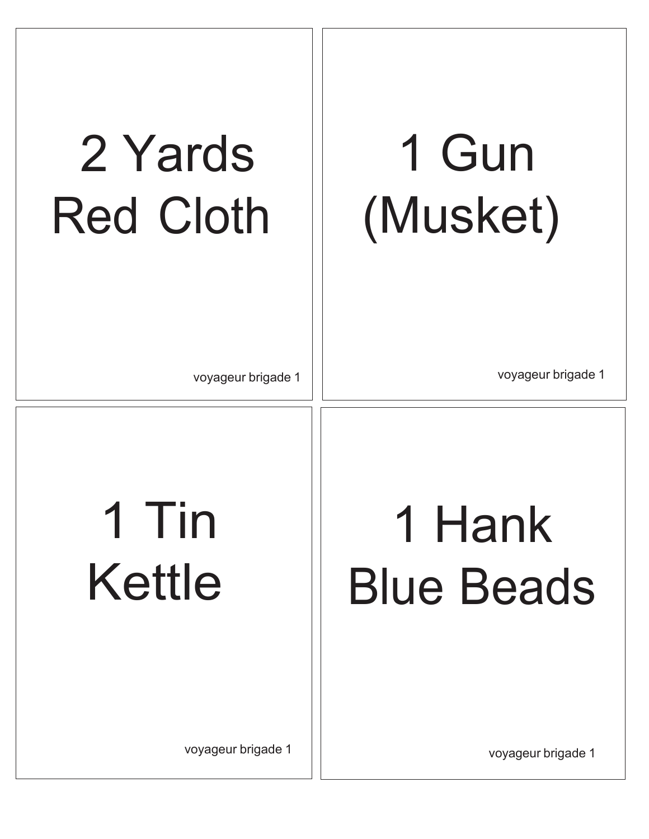### 1 Gun (Musket)

### 2 Yards Red Cloth

voyageur brigade 1

voyageur brigade 1

1 Hank Blue Beads

### 1 Tin Kettle

voyageur brigade 1

voyageur brigade 1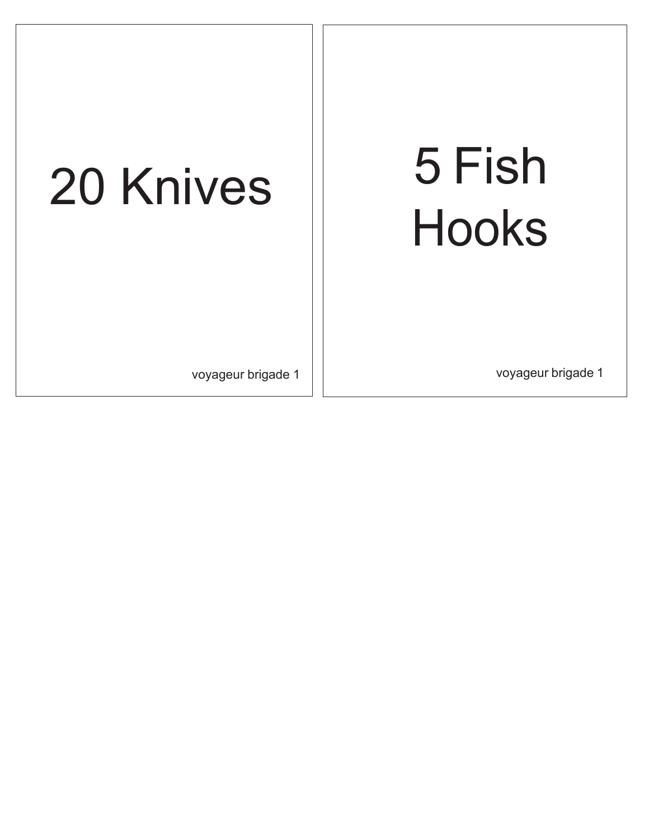# Hooks

## 20 Knives | 5 Fish

voyageur brigade 1 voyageur brigade 1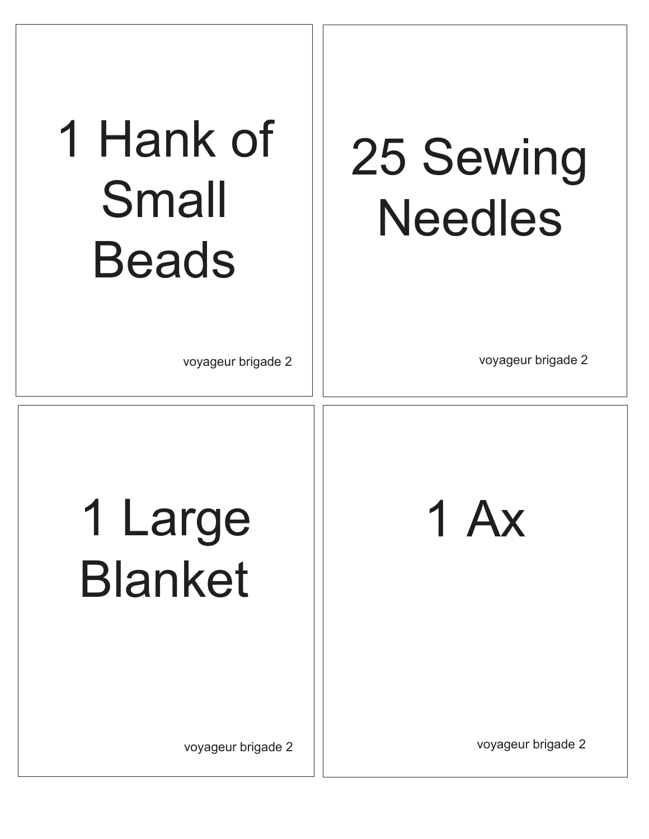### 1 Hank of Small Beads

### 25 Sewing Needles

1 Ax

voyageur brigade 2 voyageur brigade 2

1 Large Blanket

voyageur brigade 2

voyageur brigade 2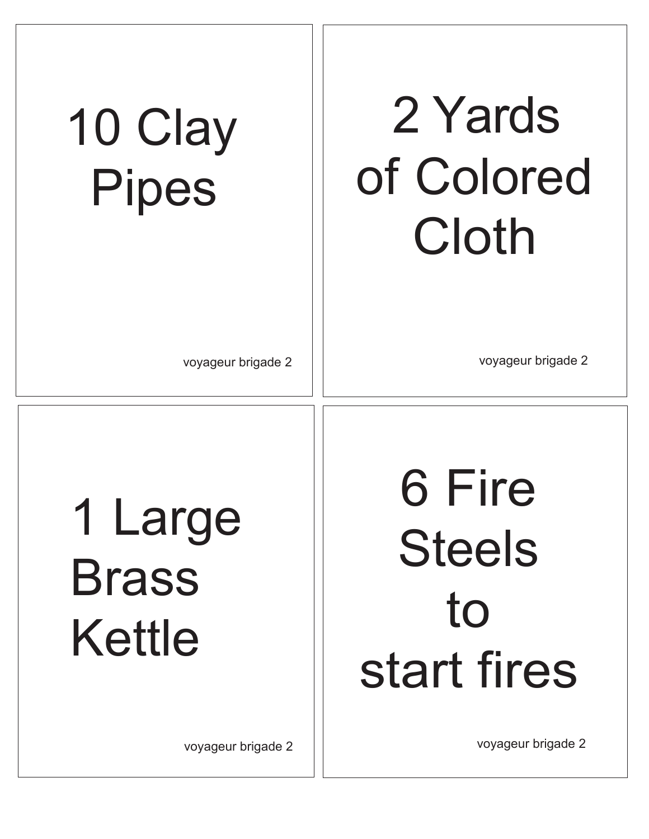### 2 Yards of Colored Cloth

### 10 Clay Pipes

voyageur brigade 2 voyageur brigade 2

1 Large Brass Kettle

voyageur brigade 2

6 Fire Steels to start fires

voyageur brigade 2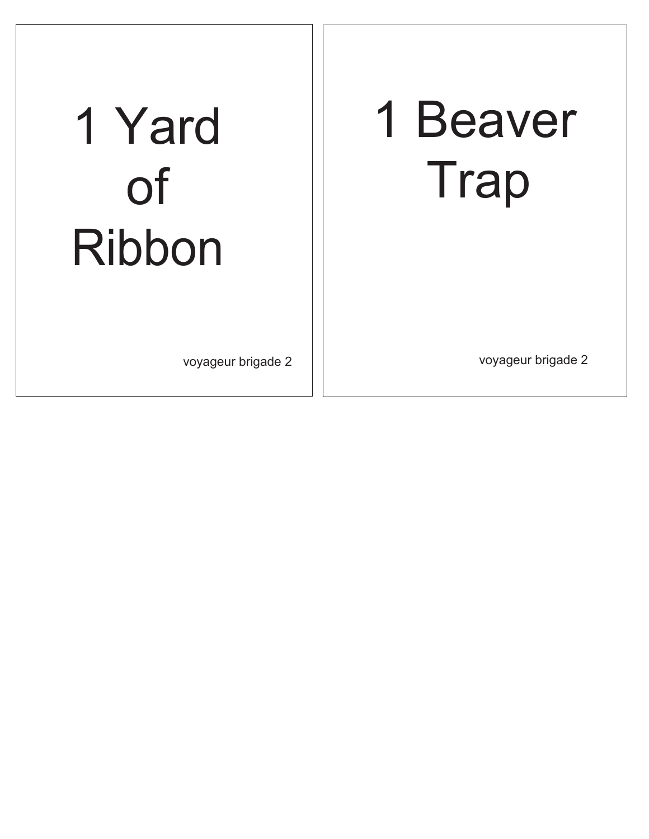### 1 Beaver Trap

### 1 Yard of Ribbon

voyageur brigade 2 voyageur brigade 2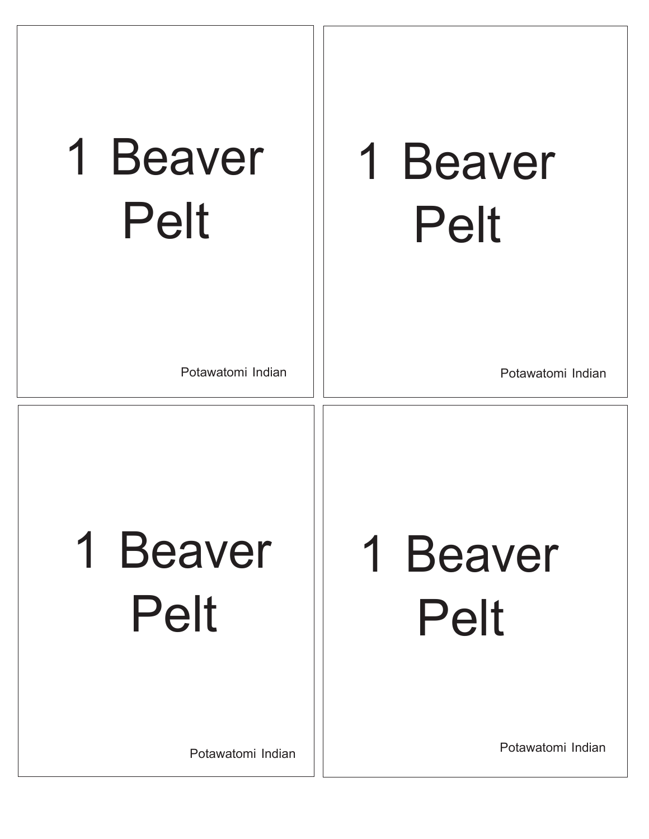| 1 Beaver    |
|-------------|
| <b>Pelt</b> |

### 1 Beaver Pelt

Potawatomi Indian

Potawatomi Indian

### 1 Beaver Pelt

### 1 Beaver Pelt

Potawatomi Indian

Potawatomi Indian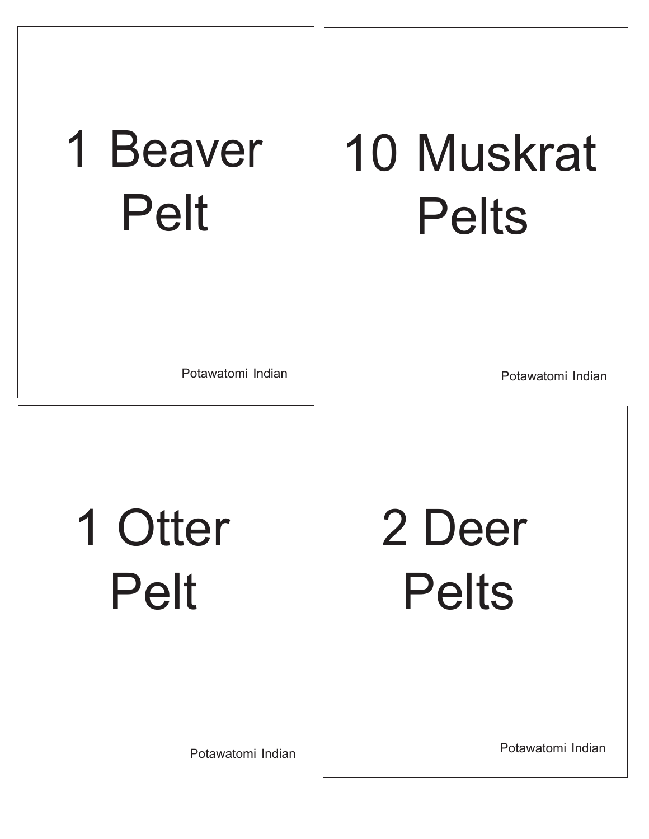| 1 Beaver    |
|-------------|
| <b>Pelt</b> |

### 10 Muskrat Pelts

Potawatomi Indian

Potawatomi Indian

1 Otter Pelt

2 Deer Pelts

Potawatomi Indian

Potawatomi Indian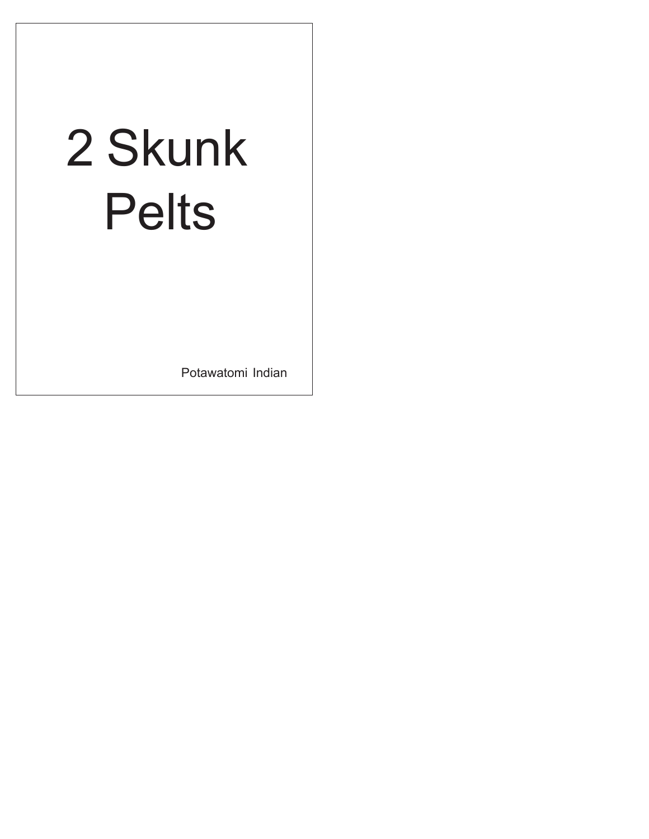| 2 Skunk<br><b>Pelts</b> |
|-------------------------|
|                         |

Potawatomi Indian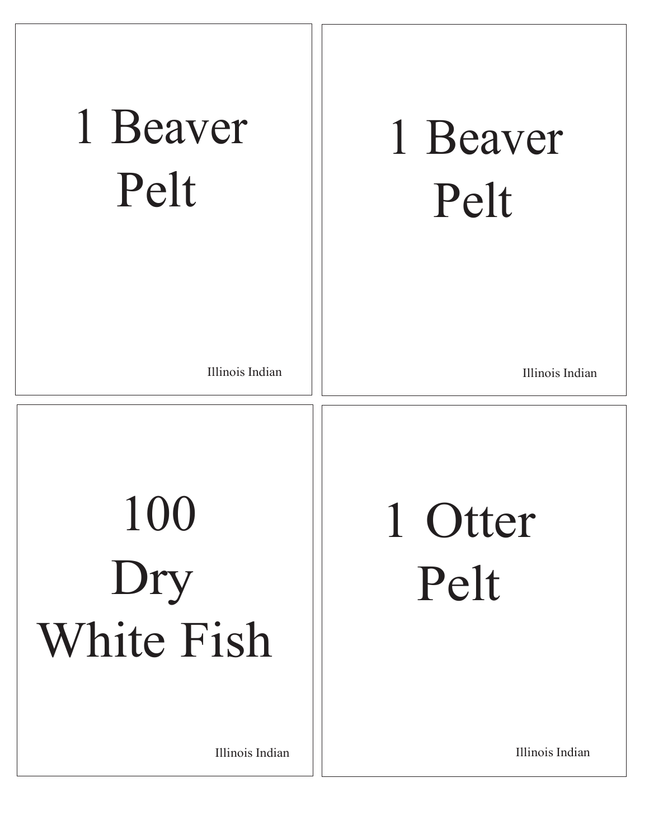| 1 Beaver<br>Pelt                                   | 1 Beaver<br>Pelt                   |
|----------------------------------------------------|------------------------------------|
| Illinois Indian                                    | Illinois Indian                    |
| 100<br>Dry<br><b>White Fish</b><br>Illinois Indian | 1 Otter<br>Pelt<br>Illinois Indian |
|                                                    |                                    |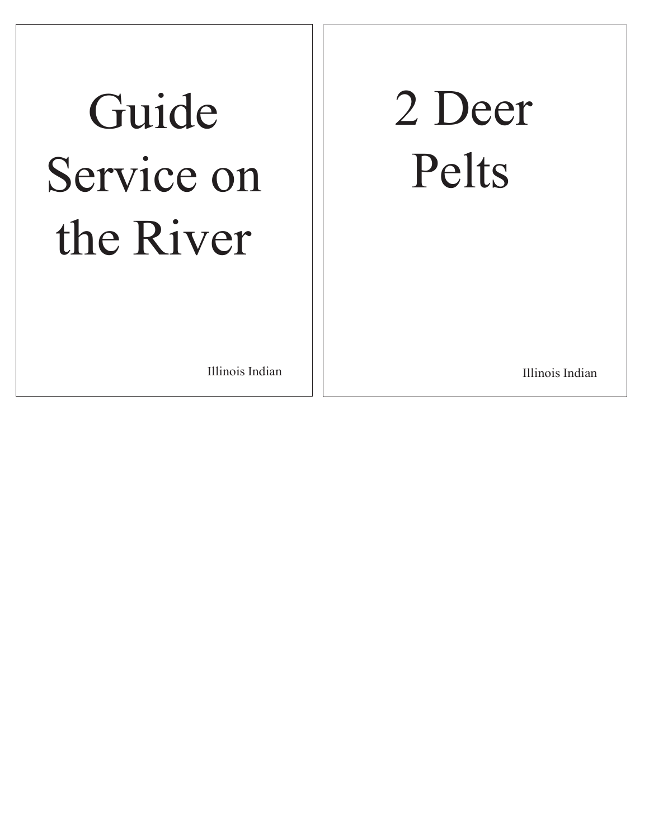### Guide Service on the River

### 2 Deer Pelts

Illinois Indian **Illinois** Indian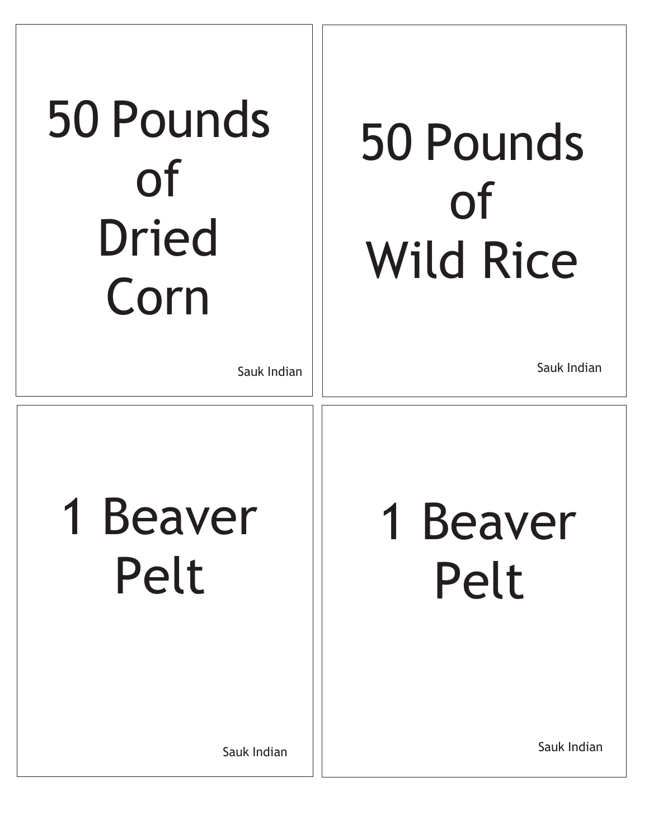| 50 Pounds    |
|--------------|
| <b>of</b>    |
| <b>Dried</b> |
| Corn         |

### 50 Pounds of Wild Rice

Sauk Indian

Sauk Indian

1 Beaver Pelt

1 Beaver Pelt

Sauk Indian

Sauk Indian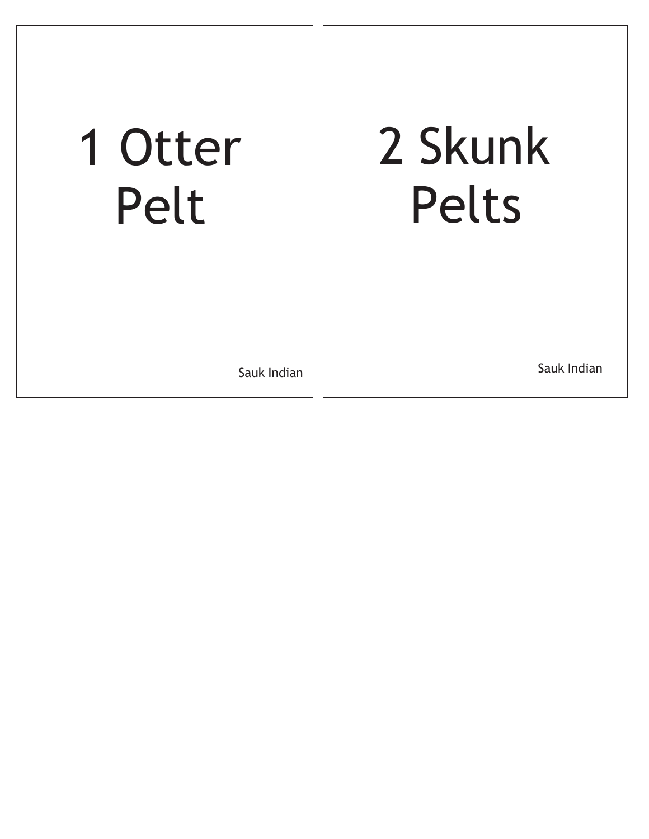### 1 Otter Pelt

### 2 Skunk Pelts

Sauk Indian

Sauk Indian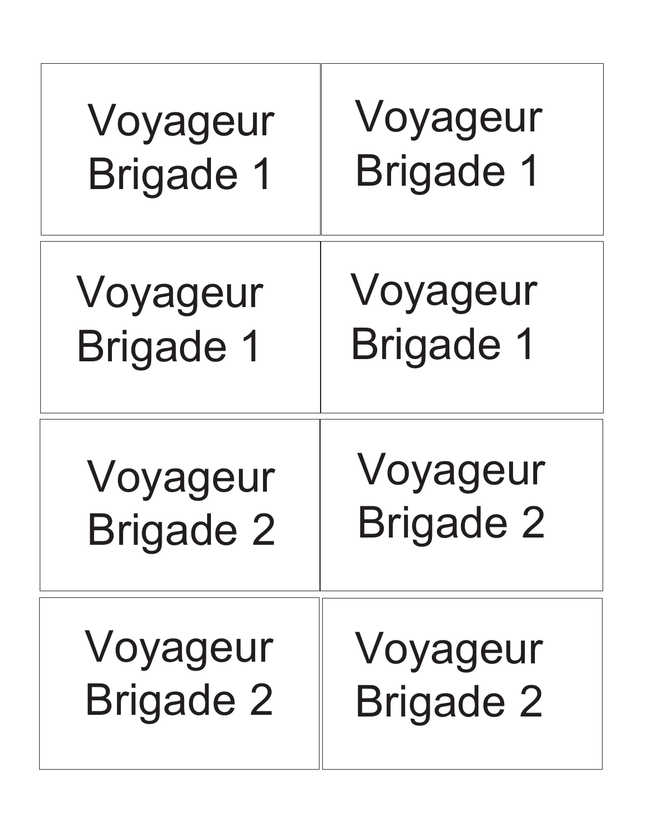| Voyageur         | Voyageur         |
|------------------|------------------|
| <b>Brigade 1</b> | <b>Brigade 1</b> |
| Voyageur         | Voyageur         |
| <b>Brigade 1</b> | <b>Brigade 1</b> |
| Voyageur         | Voyageur         |
| <b>Brigade 2</b> | <b>Brigade 2</b> |
| Voyageur         | Voyageur         |
| <b>Brigade 2</b> | <b>Brigade 2</b> |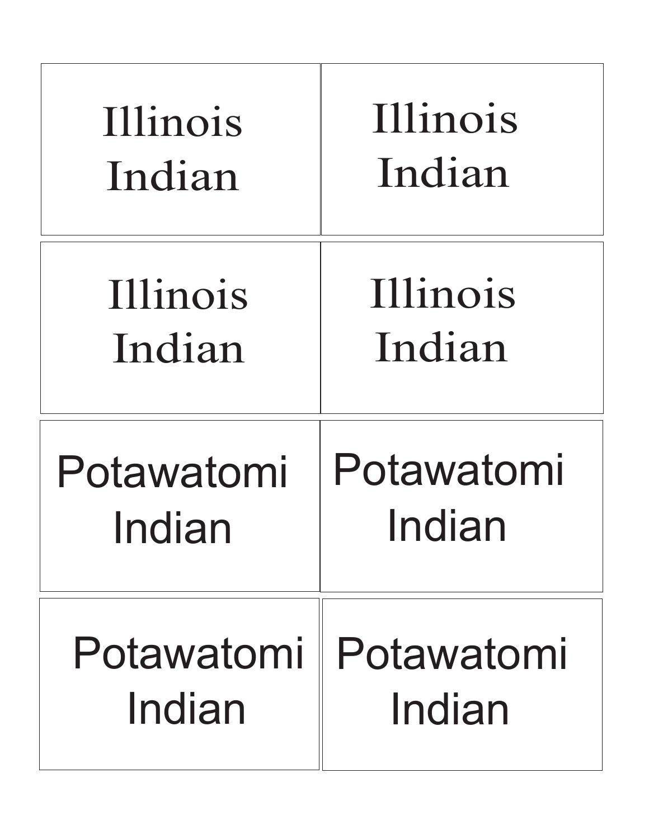| Illinois   | <b>Illinois</b> |
|------------|-----------------|
| Indian     | Indian          |
| Illinois   | Illinois        |
| Indian     | Indian          |
| Potawatomi | Potawatomi      |
| Indian     | Indian          |
| Potawatomi | Potawatomi      |
| Indian     | Indian          |